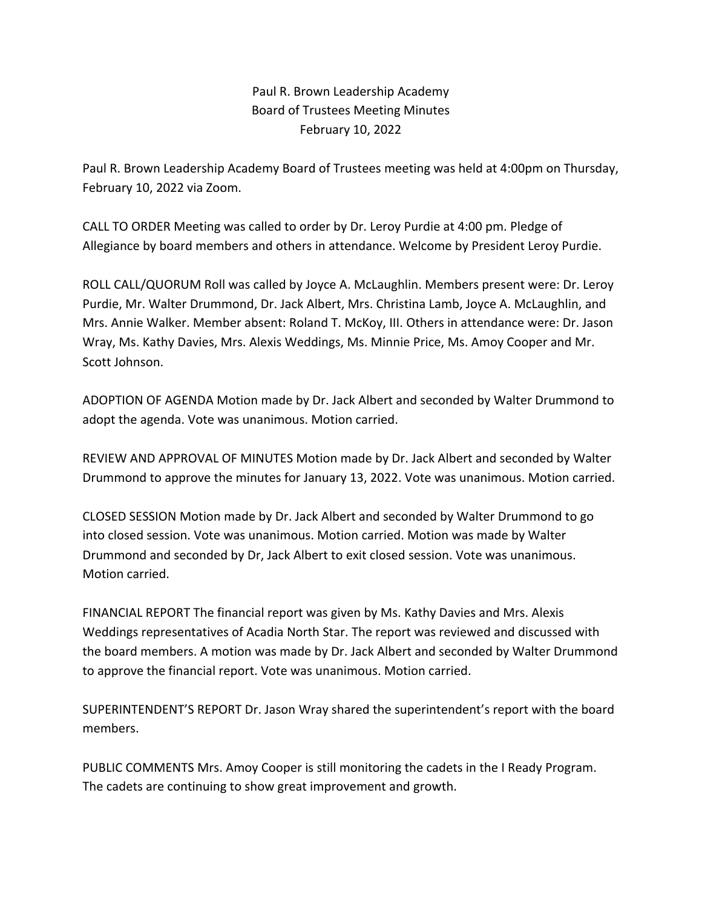Paul R. Brown Leadership Academy Board of Trustees Meeting Minutes February 10, 2022

Paul R. Brown Leadership Academy Board of Trustees meeting was held at 4:00pm on Thursday, February 10, 2022 via Zoom.

CALL TO ORDER Meeting was called to order by Dr. Leroy Purdie at 4:00 pm. Pledge of Allegiance by board members and others in attendance. Welcome by President Leroy Purdie.

ROLL CALL/QUORUM Roll was called by Joyce A. McLaughlin. Members present were: Dr. Leroy Purdie, Mr. Walter Drummond, Dr. Jack Albert, Mrs. Christina Lamb, Joyce A. McLaughlin, and Mrs. Annie Walker. Member absent: Roland T. McKoy, III. Others in attendance were: Dr. Jason Wray, Ms. Kathy Davies, Mrs. Alexis Weddings, Ms. Minnie Price, Ms. Amoy Cooper and Mr. Scott Johnson.

ADOPTION OF AGENDA Motion made by Dr. Jack Albert and seconded by Walter Drummond to adopt the agenda. Vote was unanimous. Motion carried.

REVIEW AND APPROVAL OF MINUTES Motion made by Dr. Jack Albert and seconded by Walter Drummond to approve the minutes for January 13, 2022. Vote was unanimous. Motion carried.

CLOSED SESSION Motion made by Dr. Jack Albert and seconded by Walter Drummond to go into closed session. Vote was unanimous. Motion carried. Motion was made by Walter Drummond and seconded by Dr, Jack Albert to exit closed session. Vote was unanimous. Motion carried.

FINANCIAL REPORT The financial report was given by Ms. Kathy Davies and Mrs. Alexis Weddings representatives of Acadia North Star. The report was reviewed and discussed with the board members. A motion was made by Dr. Jack Albert and seconded by Walter Drummond to approve the financial report. Vote was unanimous. Motion carried.

SUPERINTENDENT'S REPORT Dr. Jason Wray shared the superintendent's report with the board members.

PUBLIC COMMENTS Mrs. Amoy Cooper is still monitoring the cadets in the I Ready Program. The cadets are continuing to show great improvement and growth.